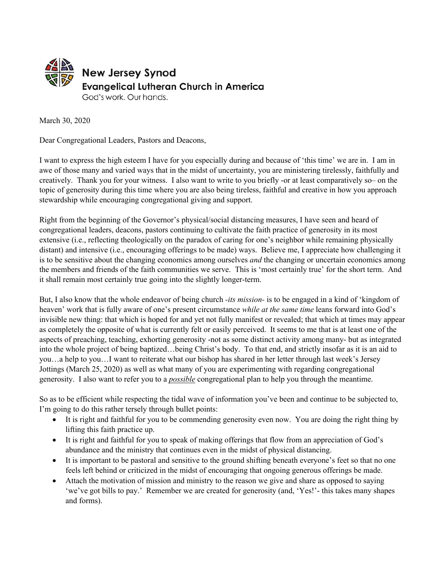

March 30, 2020

Dear Congregational Leaders, Pastors and Deacons,

I want to express the high esteem I have for you especially during and because of 'this time' we are in. I am in awe of those many and varied ways that in the midst of uncertainty, you are ministering tirelessly, faithfully and creatively. Thank you for your witness. I also want to write to you briefly -or at least comparatively so– on the topic of generosity during this time where you are also being tireless, faithful and creative in how you approach stewardship while encouraging congregational giving and support.

Right from the beginning of the Governor's physical/social distancing measures, I have seen and heard of congregational leaders, deacons, pastors continuing to cultivate the faith practice of generosity in its most extensive (i.e., reflecting theologically on the paradox of caring for one's neighbor while remaining physically distant) and intensive (i.e., encouraging offerings to be made) ways. Believe me, I appreciate how challenging it is to be sensitive about the changing economics among ourselves *and* the changing or uncertain economics among the members and friends of the faith communities we serve. This is 'most certainly true' for the short term. And it shall remain most certainly true going into the slightly longer-term.

But, I also know that the whole endeavor of being church *-its mission-* is to be engaged in a kind of 'kingdom of heaven' work that is fully aware of one's present circumstance *while at the same time* leans forward into God's invisible new thing: that which is hoped for and yet not fully manifest or revealed; that which at times may appear as completely the opposite of what is currently felt or easily perceived. It seems to me that is at least one of the aspects of preaching, teaching, exhorting generosity -not as some distinct activity among many- but as integrated into the whole project of being baptized…being Christ's body. To that end, and strictly insofar as it is an aid to you…a help to you…I want to reiterate what our bishop has shared in her letter through last week's Jersey Jottings (March 25, 2020) as well as what many of you are experimenting with regarding congregational generosity. I also want to refer you to a *possible* congregational plan to help you through the meantime.

So as to be efficient while respecting the tidal wave of information you've been and continue to be subjected to, I'm going to do this rather tersely through bullet points:

- It is right and faithful for you to be commending generosity even now. You are doing the right thing by lifting this faith practice up.
- It is right and faithful for you to speak of making offerings that flow from an appreciation of God's abundance and the ministry that continues even in the midst of physical distancing.
- It is important to be pastoral and sensitive to the ground shifting beneath everyone's feet so that no one feels left behind or criticized in the midst of encouraging that ongoing generous offerings be made.
- Attach the motivation of mission and ministry to the reason we give and share as opposed to saying 'we've got bills to pay.' Remember we are created for generosity (and, 'Yes!'- this takes many shapes and forms).